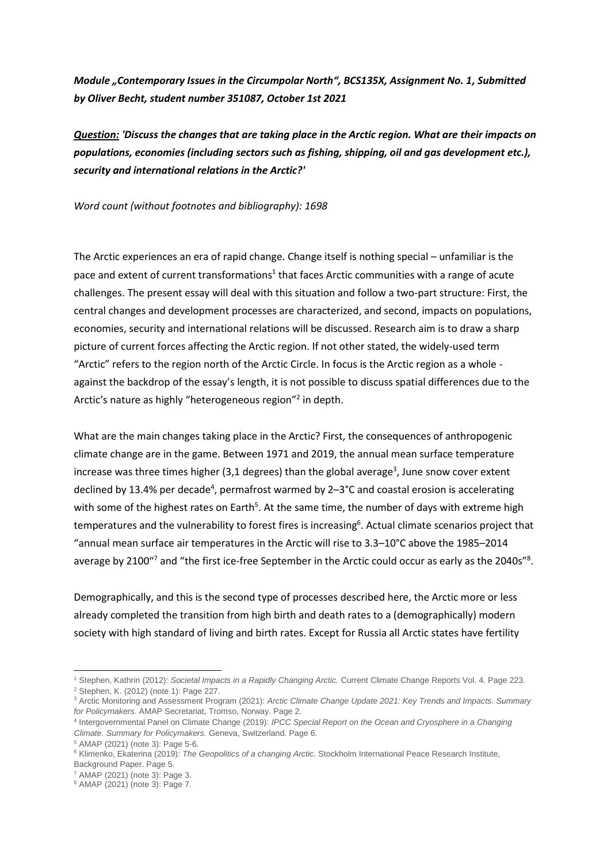*Module "Contemporary Issues in the Circumpolar North", BCS135X, Assignment No. 1, Submitted by Oliver Becht, student number 351087, October 1st 2021*

*Question: 'Discuss the changes that are taking place in the Arctic region. What are their impacts on populations, economies (including sectors such as fishing, shipping, oil and gas development etc.), security and international relations in the Arctic?'*

*Word count (without footnotes and bibliography): 1698*

The Arctic experiences an era of rapid change. Change itself is nothing special – unfamiliar is the pace and extent of current transformations<sup>1</sup> that faces Arctic communities with a range of acute challenges. The present essay will deal with this situation and follow a two-part structure: First, the central changes and development processes are characterized, and second, impacts on populations, economies, security and international relations will be discussed. Research aim is to draw a sharp picture of current forces affecting the Arctic region. If not other stated, the widely-used term "Arctic" refers to the region north of the Arctic Circle. In focus is the Arctic region as a whole against the backdrop of the essay's length, it is not possible to discuss spatial differences due to the Arctic's nature as highly "heterogeneous region"<sup>2</sup> in depth.

What are the main changes taking place in the Arctic? First, the consequences of anthropogenic climate change are in the game. Between 1971 and 2019, the annual mean surface temperature increase was three times higher (3,1 degrees) than the global average<sup>3</sup>, June snow cover extent declined by 13.4% per decade<sup>4</sup>, permafrost warmed by 2-3°C and coastal erosion is accelerating with some of the highest rates on Earth<sup>5</sup>. At the same time, the number of days with extreme high temperatures and the vulnerability to forest fires is increasing<sup>6</sup>. Actual climate scenarios project that "annual mean surface air temperatures in the Arctic will rise to 3.3–10°C above the 1985–2014 average by 2100"<sup>7</sup> and "the first ice-free September in the Arctic could occur as early as the 2040s"<sup>8</sup>.

Demographically, and this is the second type of processes described here, the Arctic more or less already completed the transition from high birth and death rates to a (demographically) modern society with high standard of living and birth rates. Except for Russia all Arctic states have fertility

<sup>-</sup><sup>1</sup> Stephen, Kathrin (2012): *Societal Impacts in a Rapidly Changing Arctic.* Current Climate Change Reports Vol. 4. Page 223. <sup>2</sup> Stephen, K. (2012) (note 1): Page 227.

<sup>3</sup> Arctic Monitoring and Assessment Program (2021): *Arctic Climate Change Update 2021: Key Trends and Impacts. Summary for Policymakers.* AMAP Secretariat, Tromso, Norway. Page 2.

<sup>4</sup> Intergovernmental Panel on Climate Change (2019): *IPCC Special Report on the Ocean and Cryosphere in a Changing Climate. Summary for Policymakers.* Geneva, Switzerland. Page 6.

<sup>5</sup> AMAP (2021) (note 3): Page 5-6.

<sup>6</sup> Klimenko, Ekaterina (2019): *The Geopolitics of a changing Arctic.* Stockholm International Peace Research Institute, Background Paper. Page 5.

<sup>7</sup> AMAP (2021) (note 3): Page 3.

<sup>8</sup> AMAP (2021) (note 3): Page 7.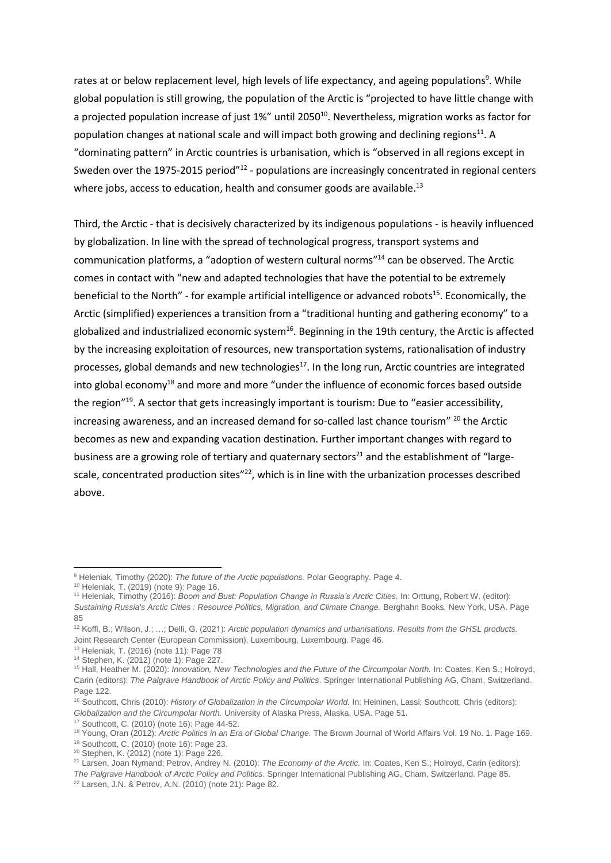rates at or below replacement level, high levels of life expectancy, and ageing populations<sup>9</sup>. While global population is still growing, the population of the Arctic is "projected to have little change with a projected population increase of just 1%" until 2050<sup>10</sup>. Nevertheless, migration works as factor for population changes at national scale and will impact both growing and declining regions<sup>11</sup>. A "dominating pattern" in Arctic countries is urbanisation, which is "observed in all regions except in Sweden over the 1975-2015 period"<sup>12</sup> - populations are increasingly concentrated in regional centers where jobs, access to education, health and consumer goods are available.<sup>13</sup>

Third, the Arctic - that is decisively characterized by its indigenous populations - is heavily influenced by globalization. In line with the spread of technological progress, transport systems and communication platforms, a "adoption of western cultural norms"<sup>14</sup> can be observed. The Arctic comes in contact with "new and adapted technologies that have the potential to be extremely beneficial to the North" - for example artificial intelligence or advanced robots<sup>15</sup>. Economically, the Arctic (simplified) experiences a transition from a "traditional hunting and gathering economy" to a globalized and industrialized economic system<sup>16</sup>. Beginning in the 19th century, the Arctic is affected by the increasing exploitation of resources, new transportation systems, rationalisation of industry processes, global demands and new technologies<sup>17</sup>. In the long run, Arctic countries are integrated into global economy<sup>18</sup> and more and more "under the influence of economic forces based outside the region"<sup>19</sup>. A sector that gets increasingly important is tourism: Due to "easier accessibility, increasing awareness, and an increased demand for so-called last chance tourism" <sup>20</sup> the Arctic becomes as new and expanding vacation destination. Further important changes with regard to business are a growing role of tertiary and quaternary sectors<sup>21</sup> and the establishment of "largescale, concentrated production sites"<sup>22</sup>, which is in line with the urbanization processes described above.

<sup>-</sup><sup>9</sup> Heleniak, Timothy (2020): *The future of the Arctic populations.* Polar Geography. Page 4.

<sup>10</sup> Heleniak, T. (2019) (note 9): Page 16.

<sup>11</sup> Heleniak, Timothy (2016): *Boom and Bust: Population Change in Russia's Arctic Cities.* In: Orttung, Robert W. (editor): *Sustaining Russia's Arctic Cities : Resource Politics, Migration, and Climate Change. Berghahn Books, New York, USA. Page* 85

<sup>12</sup> Koffi, B.; WIlson, J.; …; Delli, G. (2021): *Arctic population dynamics and urbanisations. Results from the GHSL products.*  Joint Research Center (European Commission), Luxembourg, Luxembourg. Page 46.

<sup>13</sup> Heleniak, T. (2016) (note 11): Page 78

<sup>14</sup> Stephen, K. (2012) (note 1): Page 227.

<sup>15</sup> Hall, Heather M. (2020): *Innovation, New Technologies and the Future of the Circumpolar North.* In: Coates, Ken S.; Holroyd, Carin (editors): *The Palgrave Handbook of Arctic Policy and Politics*. Springer International Publishing AG, Cham, Switzerland. Page 122.

<sup>&</sup>lt;sup>16</sup> Southcott, Chris (2010): *History of Globalization in the Circumpolar World.* In: Heininen, Lassi; Southcott, Chris (editors): *Globalization and the Circumpolar North.* University of Alaska Press, Alaska, USA. Page 51.

<sup>17</sup> Southcott, C. (2010) (note 16): Page 44-52.

<sup>18</sup> Young, Oran (2012): *Arctic Politics in an Era of Global Change.* The Brown Journal of World Affairs Vol. 19 No. 1. Page 169.

<sup>19</sup> Southcott, C. (2010) (note 16): Page 23.

<sup>20</sup> Stephen, K. (2012) (note 1): Page 226.

<sup>21</sup> Larsen, Joan Nymand; Petrov, Andrey N. (2010): *The Economy of the Arctic.* In: Coates, Ken S.; Holroyd, Carin (editors):

*The Palgrave Handbook of Arctic Policy and Politics*. Springer International Publishing AG, Cham, Switzerland. Page 85.

<sup>22</sup> Larsen, J.N. & Petrov, A.N. (2010) (note 21): Page 82.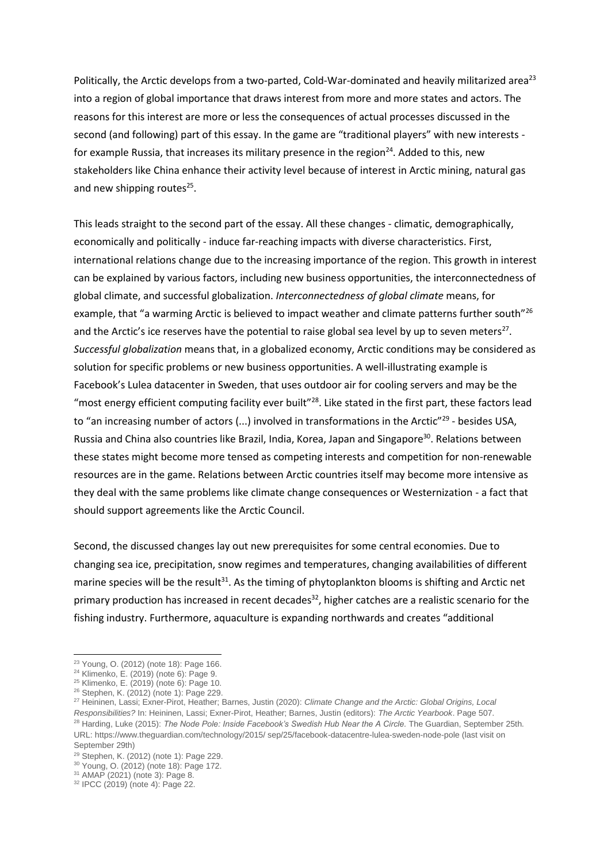Politically, the Arctic develops from a two-parted, Cold-War-dominated and heavily militarized area<sup>23</sup> into a region of global importance that draws interest from more and more states and actors. The reasons for this interest are more or less the consequences of actual processes discussed in the second (and following) part of this essay. In the game are "traditional players" with new interests for example Russia, that increases its military presence in the region<sup>24</sup>. Added to this, new stakeholders like China enhance their activity level because of interest in Arctic mining, natural gas and new shipping routes<sup>25</sup>.

This leads straight to the second part of the essay. All these changes - climatic, demographically, economically and politically - induce far-reaching impacts with diverse characteristics. First, international relations change due to the increasing importance of the region. This growth in interest can be explained by various factors, including new business opportunities, the interconnectedness of global climate, and successful globalization. *Interconnectedness of global climate* means, for example, that "a warming Arctic is believed to impact weather and climate patterns further south"<sup>26</sup> and the Arctic's ice reserves have the potential to raise global sea level by up to seven meters<sup>27</sup>. *Successful globalization* means that, in a globalized economy, Arctic conditions may be considered as solution for specific problems or new business opportunities. A well-illustrating example is Facebook's Lulea datacenter in Sweden, that uses outdoor air for cooling servers and may be the "most energy efficient computing facility ever built"<sup>28</sup>. Like stated in the first part, these factors lead to "an increasing number of actors (...) involved in transformations in the Arctic<sup>"29</sup> - besides USA, Russia and China also countries like Brazil, India, Korea, Japan and Singapore<sup>30</sup>. Relations between these states might become more tensed as competing interests and competition for non-renewable resources are in the game. Relations between Arctic countries itself may become more intensive as they deal with the same problems like climate change consequences or Westernization - a fact that should support agreements like the Arctic Council.

Second, the discussed changes lay out new prerequisites for some central economies. Due to changing sea ice, precipitation, snow regimes and temperatures, changing availabilities of different marine species will be the result $31$ . As the timing of phytoplankton blooms is shifting and Arctic net primary production has increased in recent decades<sup>32</sup>, higher catches are a realistic scenario for the fishing industry. Furthermore, aquaculture is expanding northwards and creates "additional

-

<sup>23</sup> Young, O. (2012) (note 18): Page 166.

<sup>24</sup> Klimenko, E. (2019) (note 6): Page 9.

<sup>25</sup> Klimenko, E. (2019) (note 6): Page 10.

<sup>26</sup> Stephen, K. (2012) (note 1): Page 229.

<sup>27</sup> Heininen, Lassi; Exner-Pirot, Heather; Barnes, Justin (2020): *Climate Change and the Arctic: Global Origins, Local Responsibilities?* In: Heininen, Lassi; Exner-Pirot, Heather; Barnes, Justin (editors): *The Arctic Yearbook*. Page 507. <sup>28</sup> Harding, Luke (2015): *The Node Pole: Inside Facebook's Swedish Hub Near the A Circle.* The Guardian, September 25th. URL: https://www.theguardian.com/technology/2015/ sep/25/facebook-datacentre-lulea-sweden-node-pole (last visit on September 29th)

<sup>29</sup> Stephen, K. (2012) (note 1): Page 229.

<sup>30</sup> Young, O. (2012) (note 18): Page 172.

<sup>31</sup> AMAP (2021) (note 3): Page 8.

<sup>32</sup> IPCC (2019) (note 4): Page 22.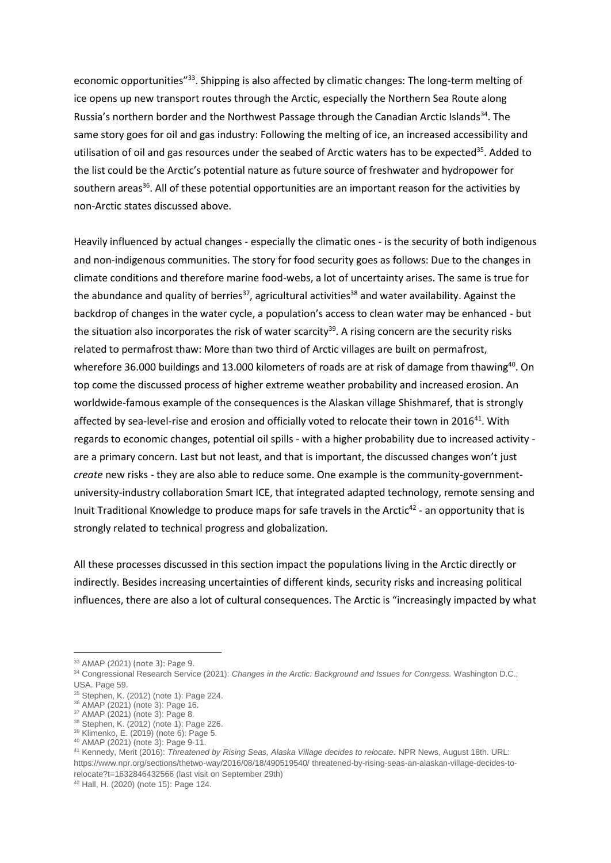economic opportunities"<sup>33</sup>. Shipping is also affected by climatic changes: The long-term melting of ice opens up new transport routes through the Arctic, especially the Northern Sea Route along Russia's northern border and the Northwest Passage through the Canadian Arctic Islands<sup>34</sup>. The same story goes for oil and gas industry: Following the melting of ice, an increased accessibility and utilisation of oil and gas resources under the seabed of Arctic waters has to be expected<sup>35</sup>. Added to the list could be the Arctic's potential nature as future source of freshwater and hydropower for southern areas<sup>36</sup>. All of these potential opportunities are an important reason for the activities by non-Arctic states discussed above.

Heavily influenced by actual changes - especially the climatic ones - is the security of both indigenous and non-indigenous communities. The story for food security goes as follows: Due to the changes in climate conditions and therefore marine food-webs, a lot of uncertainty arises. The same is true for the abundance and quality of berries<sup>37</sup>, agricultural activities<sup>38</sup> and water availability. Against the backdrop of changes in the water cycle, a population's access to clean water may be enhanced - but the situation also incorporates the risk of water scarcity<sup>39</sup>. A rising concern are the security risks related to permafrost thaw: More than two third of Arctic villages are built on permafrost, wherefore 36.000 buildings and 13.000 kilometers of roads are at risk of damage from thawing<sup>40</sup>. On top come the discussed process of higher extreme weather probability and increased erosion. An worldwide-famous example of the consequences is the Alaskan village Shishmaref, that is strongly affected by sea-level-rise and erosion and officially voted to relocate their town in 2016<sup>41</sup>. With regards to economic changes, potential oil spills - with a higher probability due to increased activity are a primary concern. Last but not least, and that is important, the discussed changes won't just *create* new risks - they are also able to reduce some. One example is the community-governmentuniversity-industry collaboration Smart ICE, that integrated adapted technology, remote sensing and Inuit Traditional Knowledge to produce maps for safe travels in the Arctic<sup>42</sup> - an opportunity that is strongly related to technical progress and globalization.

All these processes discussed in this section impact the populations living in the Arctic directly or indirectly. Besides increasing uncertainties of different kinds, security risks and increasing political influences, there are also a lot of cultural consequences. The Arctic is "increasingly impacted by what

-

<sup>33</sup> AMAP (2021) (note 3): Page 9.

<sup>&</sup>lt;sup>34</sup> Congressional Research Service (2021): *Changes in the Arctic: Background and Issues for Conrgess*. Washington D.C., USA. Page 59.

<sup>35</sup> Stephen, K. (2012) (note 1): Page 224.

<sup>36</sup> AMAP (2021) (note 3): Page 16.

<sup>37</sup> AMAP (2021) (note 3): Page 8.

<sup>38</sup> Stephen, K. (2012) (note 1): Page 226.

<sup>39</sup> Klimenko, E. (2019) (note 6): Page 5.

<sup>40</sup> AMAP (2021) (note 3): Page 9-11.

<sup>41</sup> Kennedy, Merit (2016): *Threatened by Rising Seas, Alaska Village decides to relocate.* NPR News, August 18th. URL: <https://www.npr.org/sections/thetwo-way/2016/08/18/490519540/> threatened-by-rising-seas-an-alaskan-village-decides-torelocate?t=1632846432566 (last visit on September 29th)

<sup>42</sup> Hall, H. (2020) (note 15): Page 124.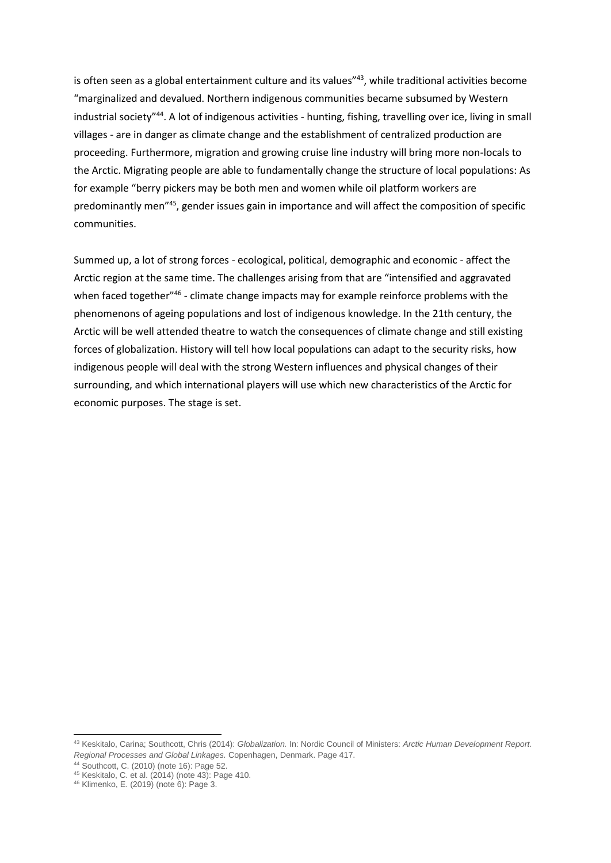is often seen as a global entertainment culture and its values"<sup>43</sup>, while traditional activities become "marginalized and devalued. Northern indigenous communities became subsumed by Western industrial society"<sup>44</sup>. A lot of indigenous activities - hunting, fishing, travelling over ice, living in small villages - are in danger as climate change and the establishment of centralized production are proceeding. Furthermore, migration and growing cruise line industry will bring more non-locals to the Arctic. Migrating people are able to fundamentally change the structure of local populations: As for example "berry pickers may be both men and women while oil platform workers are predominantly men<sup>"45</sup>, gender issues gain in importance and will affect the composition of specific communities.

Summed up, a lot of strong forces - ecological, political, demographic and economic - affect the Arctic region at the same time. The challenges arising from that are "intensified and aggravated when faced together"<sup>46</sup> - climate change impacts may for example reinforce problems with the phenomenons of ageing populations and lost of indigenous knowledge. In the 21th century, the Arctic will be well attended theatre to watch the consequences of climate change and still existing forces of globalization. History will tell how local populations can adapt to the security risks, how indigenous people will deal with the strong Western influences and physical changes of their surrounding, and which international players will use which new characteristics of the Arctic for economic purposes. The stage is set.

-

<sup>43</sup> Keskitalo, Carina; Southcott, Chris (2014): *Globalization.* In: Nordic Council of Ministers: *Arctic Human Development Report. Regional Processes and Global Linkages.* Copenhagen, Denmark. Page 417.

<sup>44</sup> Southcott, C. (2010) (note 16): Page 52.

<sup>45</sup> Keskitalo, C. et al. (2014) (note 43): Page 410.

<sup>46</sup> Klimenko, E. (2019) (note 6): Page 3.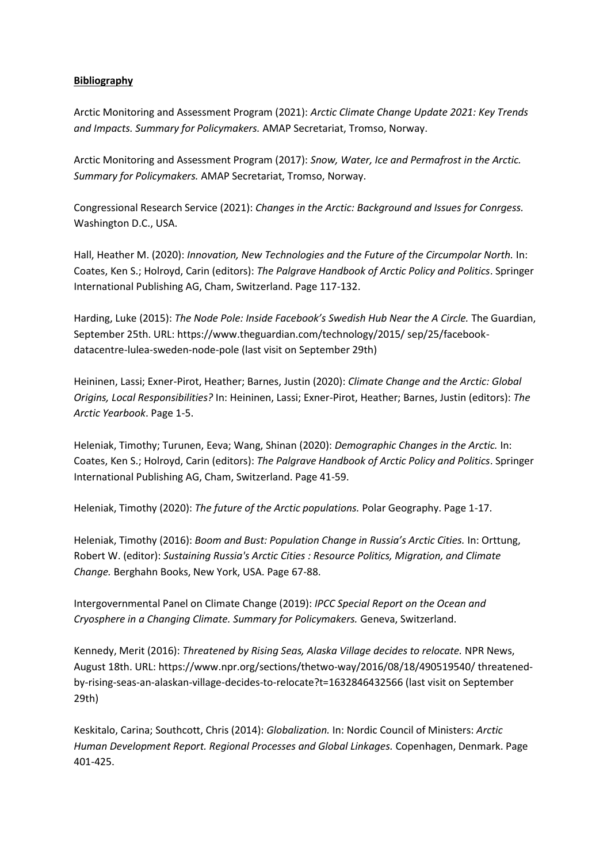## **Bibliography**

Arctic Monitoring and Assessment Program (2021): *Arctic Climate Change Update 2021: Key Trends and Impacts. Summary for Policymakers.* AMAP Secretariat, Tromso, Norway.

Arctic Monitoring and Assessment Program (2017): *Snow, Water, Ice and Permafrost in the Arctic. Summary for Policymakers.* AMAP Secretariat, Tromso, Norway.

Congressional Research Service (2021): *Changes in the Arctic: Background and Issues for Conrgess.*  Washington D.C., USA.

Hall, Heather M. (2020): *Innovation, New Technologies and the Future of the Circumpolar North.* In: Coates, Ken S.; Holroyd, Carin (editors): *The Palgrave Handbook of Arctic Policy and Politics*. Springer International Publishing AG, Cham, Switzerland. Page 117-132.

Harding, Luke (2015): *The Node Pole: Inside Facebook's Swedish Hub Near the A Circle.* The Guardian, September 25th. URL: https://www.theguardian.com/technology/2015/ sep/25/facebookdatacentre-lulea-sweden-node-pole (last visit on September 29th)

Heininen, Lassi; Exner-Pirot, Heather; Barnes, Justin (2020): *Climate Change and the Arctic: Global Origins, Local Responsibilities?* In: Heininen, Lassi; Exner-Pirot, Heather; Barnes, Justin (editors): *The Arctic Yearbook*. Page 1-5.

Heleniak, Timothy; Turunen, Eeva; Wang, Shinan (2020): *Demographic Changes in the Arctic.* In: Coates, Ken S.; Holroyd, Carin (editors): *The Palgrave Handbook of Arctic Policy and Politics*. Springer International Publishing AG, Cham, Switzerland. Page 41-59.

Heleniak, Timothy (2020): *The future of the Arctic populations.* Polar Geography. Page 1-17.

Heleniak, Timothy (2016): *Boom and Bust: Population Change in Russia's Arctic Cities.* In: Orttung, Robert W. (editor): *Sustaining Russia's Arctic Cities : Resource Politics, Migration, and Climate Change.* Berghahn Books, New York, USA. Page 67-88.

Intergovernmental Panel on Climate Change (2019): *IPCC Special Report on the Ocean and Cryosphere in a Changing Climate. Summary for Policymakers.* Geneva, Switzerland.

Kennedy, Merit (2016): *Threatened by Rising Seas, Alaska Village decides to relocate.* NPR News, August 18th. URL[: https://www.npr.org/sections/thetwo-way/2016/08/18/490519540/](https://www.npr.org/sections/thetwo-way/2016/08/18/490519540/) threatenedby-rising-seas-an-alaskan-village-decides-to-relocate?t=1632846432566 (last visit on September 29th)

Keskitalo, Carina; Southcott, Chris (2014): *Globalization.* In: Nordic Council of Ministers: *Arctic Human Development Report. Regional Processes and Global Linkages.* Copenhagen, Denmark. Page 401-425.